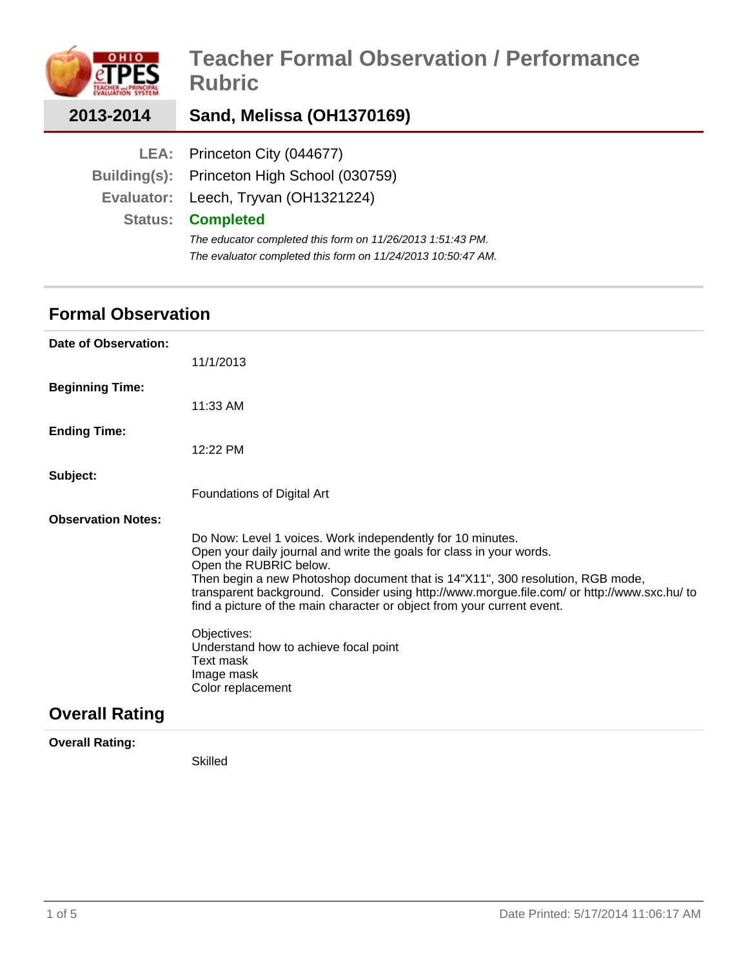|                | <b>Teacher Formal Observation / Performance</b><br><b>Rubric</b> |
|----------------|------------------------------------------------------------------|
| 2013-2014      | Sand, Melissa (OH1370169)                                        |
|                | LEA: Princeton City (044677)                                     |
| Building(s):   | Princeton High School (030759)                                   |
| Evaluator:     | Leech, Tryvan (OH1321224)                                        |
| <b>Status:</b> | <b>Completed</b>                                                 |
|                | The educator completed this form on 11/26/2013 1:51:43 PM.       |
|                | The evaluator completed this form on 11/24/2013 10:50:47 AM.     |

# **Formal Observation**

| Date of Observation:      |                                                                                                                                                                                                                                                                                                                                                                                                                                                                                                                                  |
|---------------------------|----------------------------------------------------------------------------------------------------------------------------------------------------------------------------------------------------------------------------------------------------------------------------------------------------------------------------------------------------------------------------------------------------------------------------------------------------------------------------------------------------------------------------------|
|                           | 11/1/2013                                                                                                                                                                                                                                                                                                                                                                                                                                                                                                                        |
| <b>Beginning Time:</b>    |                                                                                                                                                                                                                                                                                                                                                                                                                                                                                                                                  |
|                           | $11:33$ AM                                                                                                                                                                                                                                                                                                                                                                                                                                                                                                                       |
| <b>Ending Time:</b>       |                                                                                                                                                                                                                                                                                                                                                                                                                                                                                                                                  |
|                           | $12:22$ PM                                                                                                                                                                                                                                                                                                                                                                                                                                                                                                                       |
| Subject:                  |                                                                                                                                                                                                                                                                                                                                                                                                                                                                                                                                  |
|                           | Foundations of Digital Art                                                                                                                                                                                                                                                                                                                                                                                                                                                                                                       |
| <b>Observation Notes:</b> |                                                                                                                                                                                                                                                                                                                                                                                                                                                                                                                                  |
|                           | Do Now: Level 1 voices. Work independently for 10 minutes.<br>Open your daily journal and write the goals for class in your words.<br>Open the RUBRIC below.<br>Then begin a new Photoshop document that is 14"X11", 300 resolution, RGB mode,<br>transparent background. Consider using http://www.morgue.file.com/ or http://www.sxc.hu/ to<br>find a picture of the main character or object from your current event.<br>Objectives:<br>Understand how to achieve focal point<br>Text mask<br>Image mask<br>Color replacement |
| <b>Overall Rating</b>     |                                                                                                                                                                                                                                                                                                                                                                                                                                                                                                                                  |

**Overall Rating:**

Skilled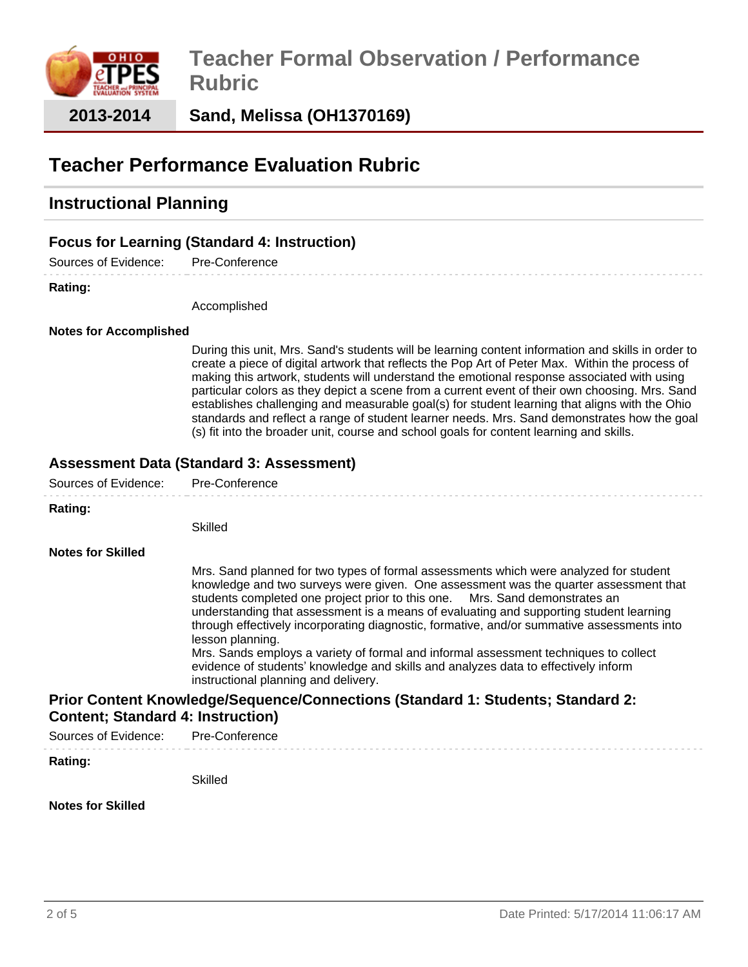

**Sand, Melissa (OH1370169)**

# **Teacher Performance Evaluation Rubric**

## **Instructional Planning**

## **Focus for Learning (Standard 4: Instruction)**

Sources of Evidence: Pre-Conference

#### **Rating:**

Accomplished

### **Notes for Accomplished**

During this unit, Mrs. Sand's students will be learning content information and skills in order to create a piece of digital artwork that reflects the Pop Art of Peter Max. Within the process of making this artwork, students will understand the emotional response associated with using particular colors as they depict a scene from a current event of their own choosing. Mrs. Sand establishes challenging and measurable goal(s) for student learning that aligns with the Ohio standards and reflect a range of student learner needs. Mrs. Sand demonstrates how the goal (s) fit into the broader unit, course and school goals for content learning and skills.

### **Assessment Data (Standard 3: Assessment)**

| Sources of Evidence:                                                                                                        | Pre-Conference                                                                                                                                                                                                                                                                                                                                                                                                                                                                                                                                                                                                                                                                                 |  |
|-----------------------------------------------------------------------------------------------------------------------------|------------------------------------------------------------------------------------------------------------------------------------------------------------------------------------------------------------------------------------------------------------------------------------------------------------------------------------------------------------------------------------------------------------------------------------------------------------------------------------------------------------------------------------------------------------------------------------------------------------------------------------------------------------------------------------------------|--|
| Rating:                                                                                                                     | Skilled                                                                                                                                                                                                                                                                                                                                                                                                                                                                                                                                                                                                                                                                                        |  |
| <b>Notes for Skilled</b>                                                                                                    | Mrs. Sand planned for two types of formal assessments which were analyzed for student<br>knowledge and two surveys were given. One assessment was the quarter assessment that<br>students completed one project prior to this one. Mrs. Sand demonstrates an<br>understanding that assessment is a means of evaluating and supporting student learning<br>through effectively incorporating diagnostic, formative, and/or summative assessments into<br>lesson planning.<br>Mrs. Sands employs a variety of formal and informal assessment techniques to collect<br>evidence of students' knowledge and skills and analyzes data to effectively inform<br>instructional planning and delivery. |  |
| Prior Content Knowledge/Sequence/Connections (Standard 1: Students; Standard 2:<br><b>Content; Standard 4: Instruction)</b> |                                                                                                                                                                                                                                                                                                                                                                                                                                                                                                                                                                                                                                                                                                |  |
| Sources of Evidence:                                                                                                        | Pre-Conference                                                                                                                                                                                                                                                                                                                                                                                                                                                                                                                                                                                                                                                                                 |  |
| Rating:                                                                                                                     | Skilled                                                                                                                                                                                                                                                                                                                                                                                                                                                                                                                                                                                                                                                                                        |  |
| <b>Notes for Skilled</b>                                                                                                    |                                                                                                                                                                                                                                                                                                                                                                                                                                                                                                                                                                                                                                                                                                |  |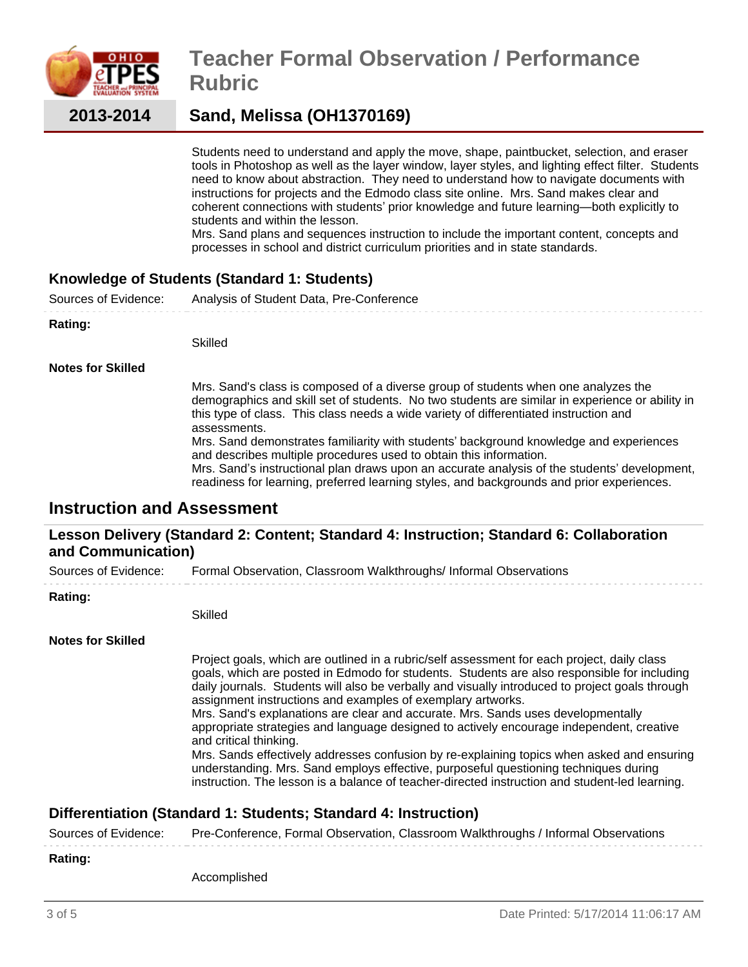

# **Teacher Formal Observation / Performance Rubric**

## **Sand, Melissa (OH1370169)**

Students need to understand and apply the move, shape, paintbucket, selection, and eraser tools in Photoshop as well as the layer window, layer styles, and lighting effect filter. Students need to know about abstraction. They need to understand how to navigate documents with instructions for projects and the Edmodo class site online. Mrs. Sand makes clear and coherent connections with students' prior knowledge and future learning—both explicitly to students and within the lesson.

Mrs. Sand plans and sequences instruction to include the important content, concepts and processes in school and district curriculum priorities and in state standards.

## **Knowledge of Students (Standard 1: Students)**

Sources of Evidence: Analysis of Student Data, Pre-Conference **Rating:** Skilled

**Notes for Skilled**

Mrs. Sand's class is composed of a diverse group of students when one analyzes the demographics and skill set of students. No two students are similar in experience or ability in this type of class. This class needs a wide variety of differentiated instruction and assessments. Mrs. Sand demonstrates familiarity with students' background knowledge and experiences

and describes multiple procedures used to obtain this information. Mrs. Sand's instructional plan draws upon an accurate analysis of the students' development,

readiness for learning, preferred learning styles, and backgrounds and prior experiences.

## **Instruction and Assessment**

### **Lesson Delivery (Standard 2: Content; Standard 4: Instruction; Standard 6: Collaboration and Communication)**

Sources of Evidence: Formal Observation, Classroom Walkthroughs/ Informal Observations

### **Rating:**

Skilled

### **Notes for Skilled**

Project goals, which are outlined in a rubric/self assessment for each project, daily class goals, which are posted in Edmodo for students. Students are also responsible for including daily journals. Students will also be verbally and visually introduced to project goals through assignment instructions and examples of exemplary artworks.

Mrs. Sand's explanations are clear and accurate. Mrs. Sands uses developmentally appropriate strategies and language designed to actively encourage independent, creative and critical thinking.

Mrs. Sands effectively addresses confusion by re-explaining topics when asked and ensuring understanding. Mrs. Sand employs effective, purposeful questioning techniques during instruction. The lesson is a balance of teacher-directed instruction and student-led learning.

## **Differentiation (Standard 1: Students; Standard 4: Instruction)**

Sources of Evidence: Pre-Conference, Formal Observation, Classroom Walkthroughs / Informal Observations

#### **Rating:**

Accomplished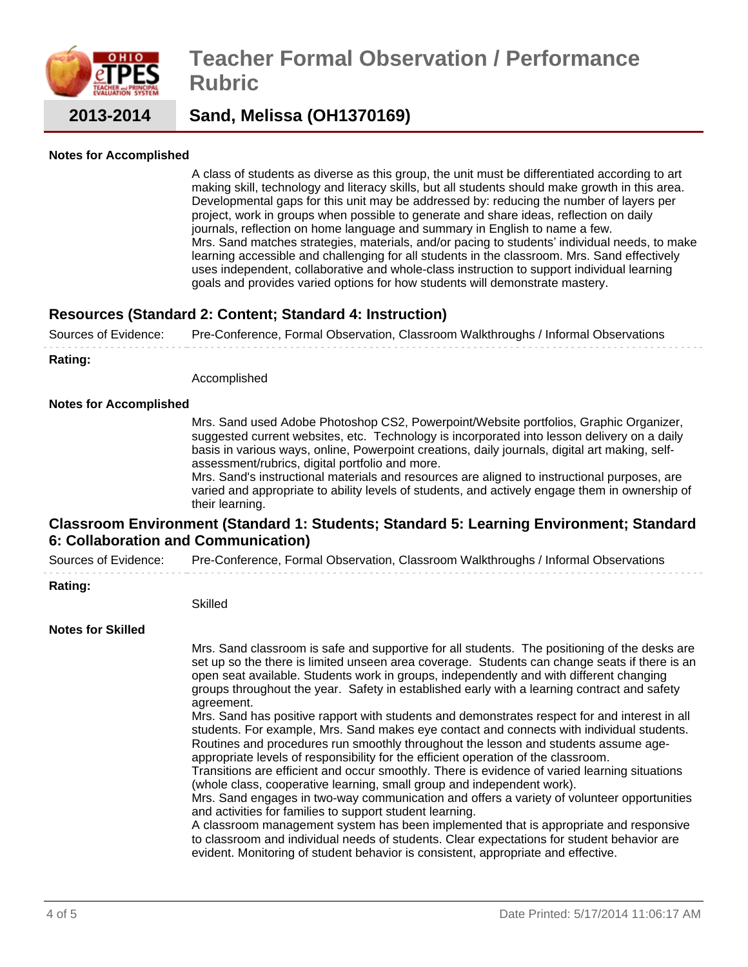

# **Teacher Formal Observation / Performance Rubric**

**2013-2014**

## **Sand, Melissa (OH1370169)**

### **Notes for Accomplished**

A class of students as diverse as this group, the unit must be differentiated according to art making skill, technology and literacy skills, but all students should make growth in this area. Developmental gaps for this unit may be addressed by: reducing the number of layers per project, work in groups when possible to generate and share ideas, reflection on daily journals, reflection on home language and summary in English to name a few. Mrs. Sand matches strategies, materials, and/or pacing to students' individual needs, to make learning accessible and challenging for all students in the classroom. Mrs. Sand effectively uses independent, collaborative and whole-class instruction to support individual learning goals and provides varied options for how students will demonstrate mastery.

### **Resources (Standard 2: Content; Standard 4: Instruction)**

Sources of Evidence: Pre-Conference, Formal Observation, Classroom Walkthroughs / Informal Observations

**Rating:**

Accomplished

#### **Notes for Accomplished**

Mrs. Sand used Adobe Photoshop CS2, Powerpoint/Website portfolios, Graphic Organizer, suggested current websites, etc. Technology is incorporated into lesson delivery on a daily basis in various ways, online, Powerpoint creations, daily journals, digital art making, selfassessment/rubrics, digital portfolio and more.

Mrs. Sand's instructional materials and resources are aligned to instructional purposes, are varied and appropriate to ability levels of students, and actively engage them in ownership of their learning.

### **Classroom Environment (Standard 1: Students; Standard 5: Learning Environment; Standard 6: Collaboration and Communication)**

Sources of Evidence: Pre-Conference, Formal Observation, Classroom Walkthroughs / Informal Observations

#### **Rating:**

Skilled

#### **Notes for Skilled**

Mrs. Sand classroom is safe and supportive for all students. The positioning of the desks are set up so the there is limited unseen area coverage. Students can change seats if there is an open seat available. Students work in groups, independently and with different changing groups throughout the year. Safety in established early with a learning contract and safety agreement.

Mrs. Sand has positive rapport with students and demonstrates respect for and interest in all students. For example, Mrs. Sand makes eye contact and connects with individual students. Routines and procedures run smoothly throughout the lesson and students assume ageappropriate levels of responsibility for the efficient operation of the classroom.

Transitions are efficient and occur smoothly. There is evidence of varied learning situations (whole class, cooperative learning, small group and independent work).

Mrs. Sand engages in two-way communication and offers a variety of volunteer opportunities and activities for families to support student learning.

A classroom management system has been implemented that is appropriate and responsive to classroom and individual needs of students. Clear expectations for student behavior are evident. Monitoring of student behavior is consistent, appropriate and effective.